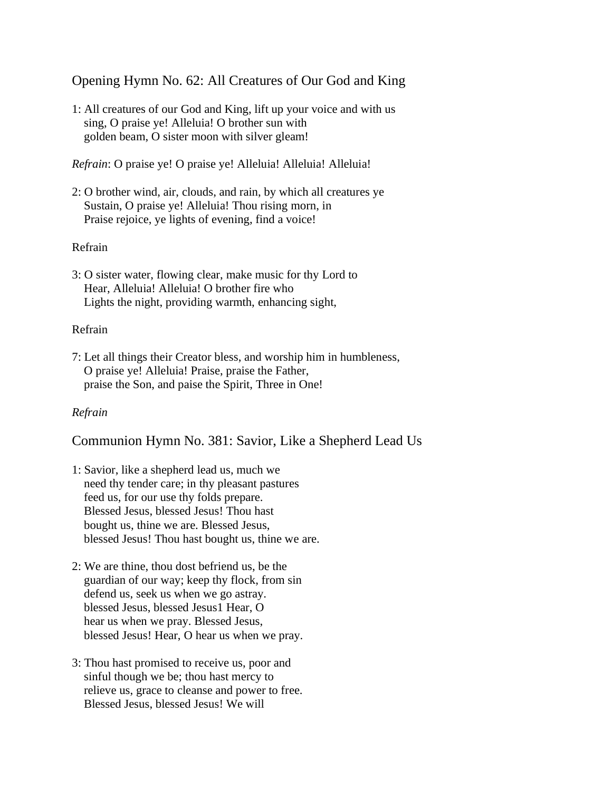Opening Hymn No. 62: All Creatures of Our God and King

1: All creatures of our God and King, lift up your voice and with us sing, O praise ye! Alleluia! O brother sun with golden beam, O sister moon with silver gleam!

*Refrain*: O praise ye! O praise ye! Alleluia! Alleluia! Alleluia!

2: O brother wind, air, clouds, and rain, by which all creatures ye Sustain, O praise ye! Alleluia! Thou rising morn, in Praise rejoice, ye lights of evening, find a voice!

## Refrain

3: O sister water, flowing clear, make music for thy Lord to Hear, Alleluia! Alleluia! O brother fire who Lights the night, providing warmth, enhancing sight,

## Refrain

7: Let all things their Creator bless, and worship him in humbleness, O praise ye! Alleluia! Praise, praise the Father, praise the Son, and paise the Spirit, Three in One!

# *Refrain*

Communion Hymn No. 381: Savior, Like a Shepherd Lead Us

- 1: Savior, like a shepherd lead us, much we need thy tender care; in thy pleasant pastures feed us, for our use thy folds prepare. Blessed Jesus, blessed Jesus! Thou hast bought us, thine we are. Blessed Jesus, blessed Jesus! Thou hast bought us, thine we are.
- 2: We are thine, thou dost befriend us, be the guardian of our way; keep thy flock, from sin defend us, seek us when we go astray. blessed Jesus, blessed Jesus1 Hear, O hear us when we pray. Blessed Jesus, blessed Jesus! Hear, O hear us when we pray.
- 3: Thou hast promised to receive us, poor and sinful though we be; thou hast mercy to relieve us, grace to cleanse and power to free. Blessed Jesus, blessed Jesus! We will